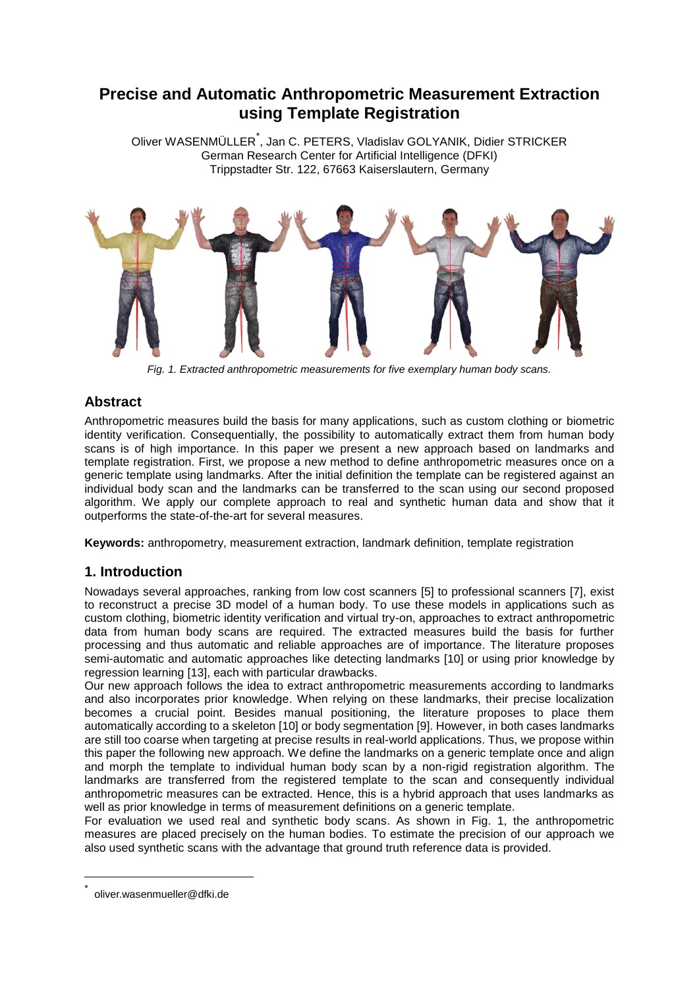# **Precise and Automatic Anthropometric Measurement Extraction using Template Registration**

Oliver WASENMÜLLER<sup>\*</sup>, Jan C. PETERS, Vladislav GOLYANIK, Didier STRICKER German Research Center for Artificial Intelligence (DFKI) Trippstadter Str. 122, 67663 Kaiserslautern, Germany



*Fig. 1. Extracted anthropometric measurements for five exemplary human body scans.*

## <span id="page-0-0"></span>**Abstract**

Anthropometric measures build the basis for many applications, such as custom clothing or biometric identity verification. Consequentially, the possibility to automatically extract them from human body scans is of high importance. In this paper we present a new approach based on landmarks and template registration. First, we propose a new method to define anthropometric measures once on a generic template using landmarks. After the initial definition the template can be registered against an individual body scan and the landmarks can be transferred to the scan using our second proposed algorithm. We apply our complete approach to real and synthetic human data and show that it outperforms the state-of-the-art for several measures.

**Keywords:** anthropometry, measurement extraction, landmark definition, template registration

## **1. Introduction**

Nowadays several approaches, ranking from low cost scanners [\[5\]](#page-5-0) to professional scanners [\[7\],](#page-5-1) exist to reconstruct a precise 3D model of a human body. To use these models in applications such as custom clothing, biometric identity verification and virtual try-on, approaches to extract anthropometric data from human body scans are required. The extracted measures build the basis for further processing and thus automatic and reliable approaches are of importance. The literature proposes semi-automatic and automatic approaches like detecting landmarks [\[10\]](#page-5-2) or using prior knowledge by regression learning [\[13\],](#page-5-3) each with particular drawbacks.

Our new approach follows the idea to extract anthropometric measurements according to landmarks and also incorporates prior knowledge. When relying on these landmarks, their precise localization becomes a crucial point. Besides manual positioning, the literature proposes to place them automatically according to a skeleton [\[10\]](#page-5-2) or body segmentation [\[9\].](#page-5-4) However, in both cases landmarks are still too coarse when targeting at precise results in real-world applications. Thus, we propose within this paper the following new approach. We define the landmarks on a generic template once and align and morph the template to individual human body scan by a non-rigid registration algorithm. The landmarks are transferred from the registered template to the scan and consequently individual anthropometric measures can be extracted. Hence, this is a hybrid approach that uses landmarks as well as prior knowledge in terms of measurement definitions on a generic template.

For evaluation we used real and synthetic body scans. As shown in Fig. 1, the anthropometric measures are placed precisely on the human bodies. To estimate the precision of our approach we also used synthetic scans with the advantage that ground truth reference data is provided.

1

<sup>\*</sup> oliver.wasenmueller@dfki.de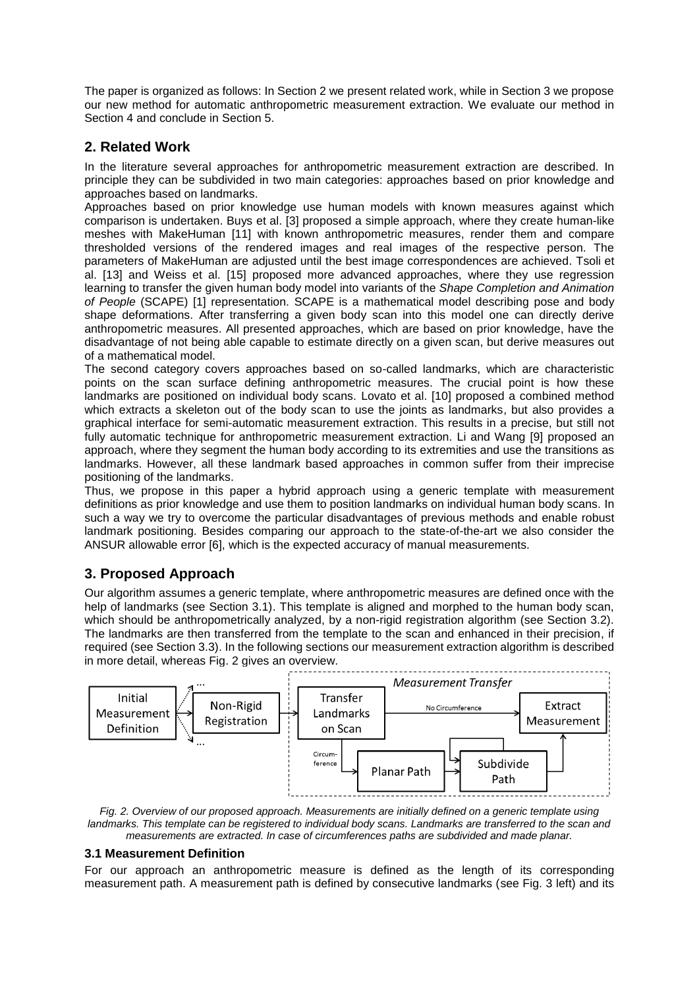The paper is organized as follows: In Section 2 we present related work, while in Section 3 we propose our new method for automatic anthropometric measurement extraction. We evaluate our method in Section 4 and conclude in Section 5.

## **2. Related Work**

In the literature several approaches for anthropometric measurement extraction are described. In principle they can be subdivided in two main categories: approaches based on prior knowledge and approaches based on landmarks.

Approaches based on prior knowledge use human models with known measures against which comparison is undertaken. Buys et al. [\[3\]](#page-5-5) proposed a simple approach, where they create human-like meshes with MakeHuman [\[11\]](#page-5-6) with known anthropometric measures, render them and compare thresholded versions of the rendered images and real images of the respective person. The parameters of MakeHuman are adjusted until the best image correspondences are achieved. Tsoli et al. [\[13\]](#page-5-3) and Weiss et al. [\[15\]](#page-5-7) proposed more advanced approaches, where they use regression learning to transfer the given human body model into variants of the *Shape Completion and Animation of People* (SCAPE) [\[1\]](#page-5-8) representation. SCAPE is a mathematical model describing pose and body shape deformations. After transferring a given body scan into this model one can directly derive anthropometric measures. All presented approaches, which are based on prior knowledge, have the disadvantage of not being able capable to estimate directly on a given scan, but derive measures out of a mathematical model.

The second category covers approaches based on so-called landmarks, which are characteristic points on the scan surface defining anthropometric measures. The crucial point is how these landmarks are positioned on individual body scans. Lovato et al. [\[10\]](#page-5-2) proposed a combined method which extracts a skeleton out of the body scan to use the joints as landmarks, but also provides a graphical interface for semi-automatic measurement extraction. This results in a precise, but still not fully automatic technique for anthropometric measurement extraction. Li and Wang [\[9\]](#page-5-4) proposed an approach, where they segment the human body according to its extremities and use the transitions as landmarks. However, all these landmark based approaches in common suffer from their imprecise positioning of the landmarks.

Thus, we propose in this paper a hybrid approach using a generic template with measurement definitions as prior knowledge and use them to position landmarks on individual human body scans. In such a way we try to overcome the particular disadvantages of previous methods and enable robust landmark positioning. Besides comparing our approach to the state-of-the-art we also consider the ANSUR allowable error [\[6\],](#page-5-9) which is the expected accuracy of manual measurements.

## **3. Proposed Approach**

Our algorithm assumes a generic template, where anthropometric measures are defined once with the help of landmarks (see Section 3.1). This template is aligned and morphed to the human body scan, which should be anthropometrically analyzed, by a non-rigid registration algorithm (see Section 3.2). The landmarks are then transferred from the template to the scan and enhanced in their precision, if required (see Section 3.3). In the following sections our measurement extraction algorithm is described in more detail, whereas [Fig. 2](#page-1-0) gives an overview.



<span id="page-1-0"></span>*Fig. 2. Overview of our proposed approach. Measurements are initially defined on a generic template using landmarks. This template can be registered to individual body scans. Landmarks are transferred to the scan and measurements are extracted. In case of circumferences paths are subdivided and made planar.* 

#### **3.1 Measurement Definition**

For our approach an anthropometric measure is defined as the length of its corresponding measurement path. A measurement path is defined by consecutive landmarks (see [Fig. 3](#page-2-0) left) and its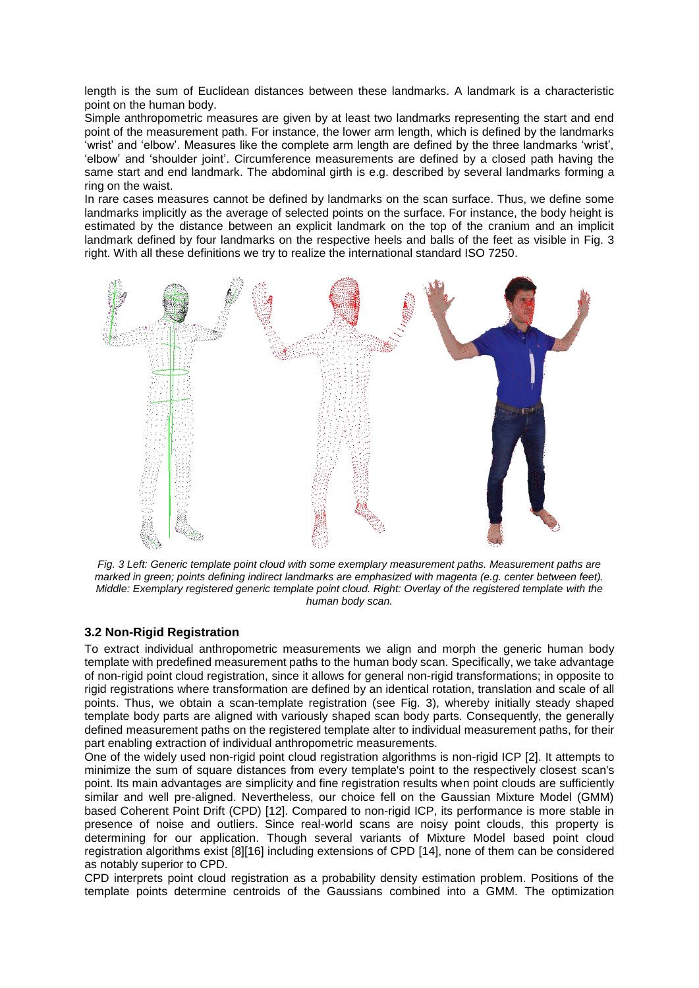length is the sum of Euclidean distances between these landmarks. A landmark is a characteristic point on the human body.

Simple anthropometric measures are given by at least two landmarks representing the start and end point of the measurement path. For instance, the lower arm length, which is defined by the landmarks 'wrist' and 'elbow'. Measures like the complete arm length are defined by the three landmarks 'wrist', 'elbow' and 'shoulder joint'. Circumference measurements are defined by a closed path having the same start and end landmark. The abdominal girth is e.g. described by several landmarks forming a ring on the waist.

In rare cases measures cannot be defined by landmarks on the scan surface. Thus, we define some landmarks implicitly as the average of selected points on the surface. For instance, the body height is estimated by the distance between an explicit landmark on the top of the cranium and an implicit landmark defined by four landmarks on the respective heels and balls of the feet as visible in [Fig. 3](#page-2-0) right. With all these definitions we try to realize the international standard ISO 7250.



<span id="page-2-0"></span>*Fig. 3 Left: Generic template point cloud with some exemplary measurement paths. Measurement paths are*  marked in green; points defining indirect landmarks are emphasized with magenta (e.g. center between feet). *Middle: Exemplary registered generic template point cloud. Right: Overlay of the registered template with the human body scan.*

#### **3.2 Non-Rigid Registration**

To extract individual anthropometric measurements we align and morph the generic human body template with predefined measurement paths to the human body scan. Specifically, we take advantage of non-rigid point cloud registration, since it allows for general non-rigid transformations; in opposite to rigid registrations where transformation are defined by an identical rotation, translation and scale of all points. Thus, we obtain a scan-template registration (see [Fig. 3\)](#page-2-0), whereby initially steady shaped template body parts are aligned with variously shaped scan body parts. Consequently, the generally defined measurement paths on the registered template alter to individual measurement paths, for their part enabling extraction of individual anthropometric measurements.

One of the widely used non-rigid point cloud registration algorithms is non-rigid ICP [\[2\].](#page-5-10) It attempts to minimize the sum of square distances from every template's point to the respectively closest scan's point. Its main advantages are simplicity and fine registration results when point clouds are sufficiently similar and well pre-aligned. Nevertheless, our choice fell on the Gaussian Mixture Model (GMM) based Coherent Point Drift (CPD) [\[12\].](#page-5-11) Compared to non-rigid ICP, its performance is more stable in presence of noise and outliers. Since real-world scans are noisy point clouds, this property is determining for our application. Though several variants of Mixture Model based point cloud registration algorithms exist [\[8\]\[16\]](#page-5-12) including extensions of CPD [\[14\],](#page-5-13) none of them can be considered as notably superior to CPD.

CPD interprets point cloud registration as a probability density estimation problem. Positions of the template points determine centroids of the Gaussians combined into a GMM. The optimization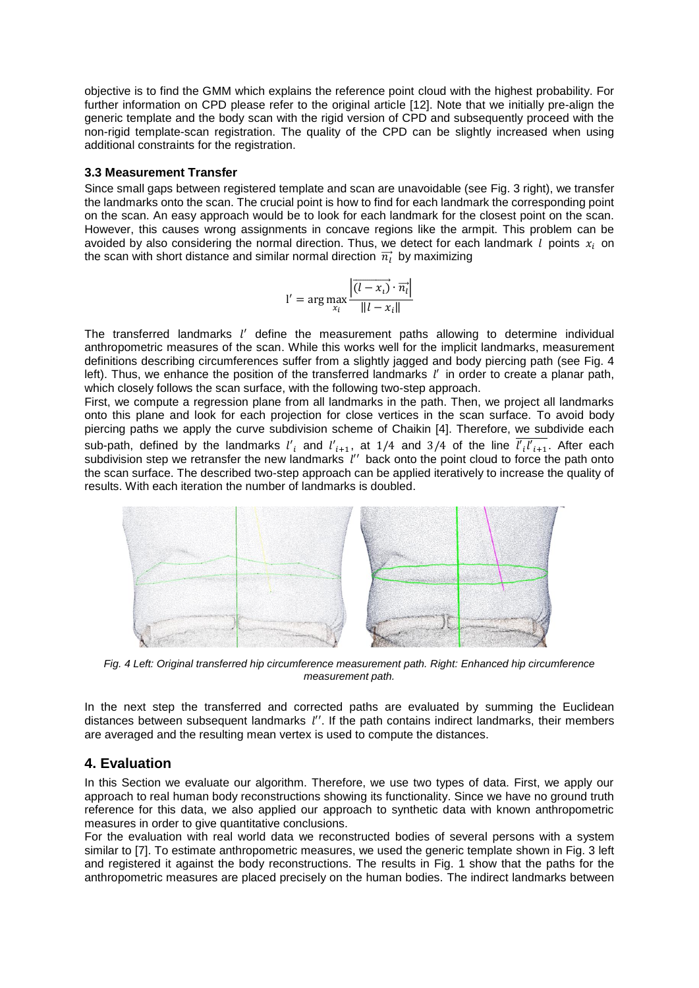objective is to find the GMM which explains the reference point cloud with the highest probability. For further information on CPD please refer to the original article [\[12\].](#page-5-11) Note that we initially pre-align the generic template and the body scan with the rigid version of CPD and subsequently proceed with the non-rigid template-scan registration. The quality of the CPD can be slightly increased when using additional constraints for the registration.

#### **3.3 Measurement Transfer**

Since small gaps between registered template and scan are unavoidable (see [Fig. 3](#page-2-0) right), we transfer the landmarks onto the scan. The crucial point is how to find for each landmark the corresponding point on the scan. An easy approach would be to look for each landmark for the closest point on the scan. However, this causes wrong assignments in concave regions like the armpit. This problem can be avoided by also considering the normal direction. Thus, we detect for each landmark  $l$  points  $x_i$  on the scan with short distance and similar normal direction  $\overrightarrow{n_l}$  by maximizing

$$
l' = \arg \max_{x_i} \frac{\left| \overrightarrow{(l - x_i)} \cdot \overrightarrow{n_i} \right|}{\|l - x_i\|}
$$

The transferred landmarks *l'* define the measurement paths allowing to determine individual anthropometric measures of the scan. While this works well for the implicit landmarks, measurement definitions describing circumferences suffer from a slightly jagged and body piercing path (see [Fig. 4](#page-3-0) left). Thus, we enhance the position of the transferred landmarks  $l'$  in order to create a planar path, which closely follows the scan surface, with the following two-step approach.

First, we compute a regression plane from all landmarks in the path. Then, we project all landmarks onto this plane and look for each projection for close vertices in the scan surface. To avoid body piercing paths we apply the curve subdivision scheme of Chaikin [\[4\].](#page-5-14) Therefore, we subdivide each sub-path, defined by the landmarks  $l'_i$  and  $l'_{i+1}$ , at 1/4 and 3/4 of the line  $l'_i l'_{i+1}$ . After each subdivision step we retransfer the new landmarks  $\overline{l}''$  back onto the point cloud to force the path onto the scan surface. The described two-step approach can be applied iteratively to increase the quality of results. With each iteration the number of landmarks is doubled.



<span id="page-3-0"></span>*Fig. 4 Left: Original transferred hip circumference measurement path. Right: Enhanced hip circumference measurement path.*

In the next step the transferred and corrected paths are evaluated by summing the Euclidean distances between subsequent landmarks *l''*. If the path contains indirect landmarks, their members are averaged and the resulting mean vertex is used to compute the distances.

## **4. Evaluation**

In this Section we evaluate our algorithm. Therefore, we use two types of data. First, we apply our approach to real human body reconstructions showing its functionality. Since we have no ground truth reference for this data, we also applied our approach to synthetic data with known anthropometric measures in order to give quantitative conclusions.

For the evaluation with real world data we reconstructed bodies of several persons with a system similar to [\[7\].](#page-5-1) To estimate anthropometric measures, we used the generic template shown in [Fig. 3](#page-2-0) left and registered it against the body reconstructions. The results in [Fig. 1](#page-0-0) show that the paths for the anthropometric measures are placed precisely on the human bodies. The indirect landmarks between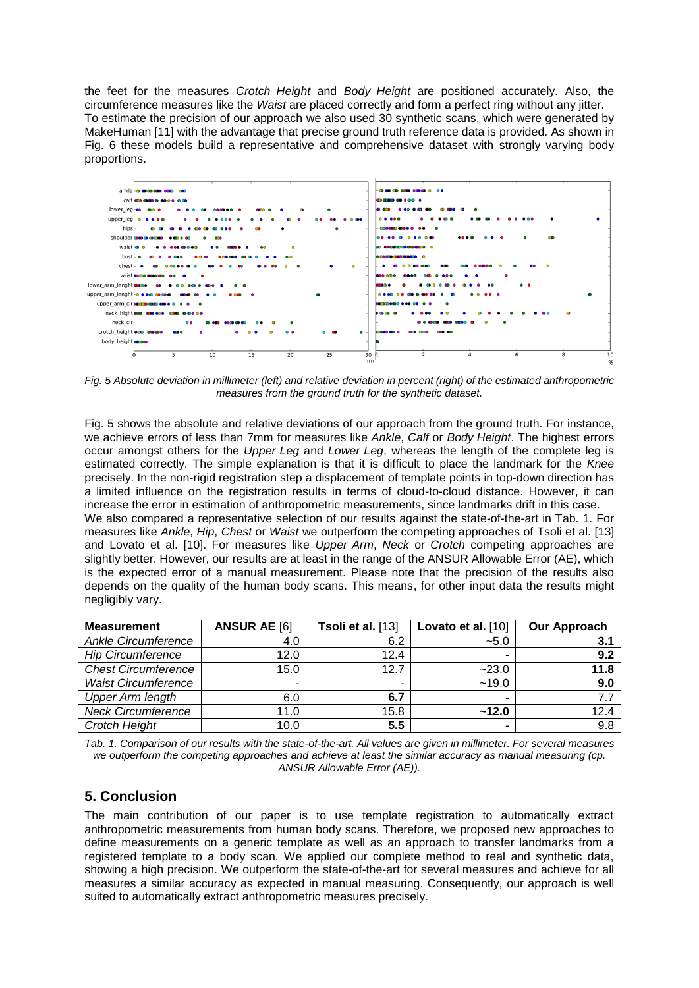the feet for the measures *Crotch Height* and *Body Height* are positioned accurately. Also, the circumference measures like the *Waist* are placed correctly and form a perfect ring without any jitter. To estimate the precision of our approach we also used 30 synthetic scans, which were generated by MakeHuman [\[11\]](#page-5-6) with the advantage that precise ground truth reference data is provided. As shown in [Fig. 6](#page-5-15) these models build a representative and comprehensive dataset with strongly varying body proportions.



<span id="page-4-0"></span>*Fig. 5 Absolute deviation in millimeter (left) and relative deviation in percent (right) of the estimated anthropometric measures from the ground truth for the synthetic dataset.*

[Fig. 5](#page-4-0) shows the absolute and relative deviations of our approach from the ground truth. For instance, we achieve errors of less than 7mm for measures like *Ankle*, *Calf* or *Body Height*. The highest errors occur amongst others for the *Upper Leg* and *Lower Leg*, whereas the length of the complete leg is estimated correctly. The simple explanation is that it is difficult to place the landmark for the *Knee* precisely. In the non-rigid registration step a displacement of template points in top-down direction has a limited influence on the registration results in terms of cloud-to-cloud distance. However, it can increase the error in estimation of anthropometric measurements, since landmarks drift in this case. We also compared a representative selection of our results against the state-of-the-art in [Tab. 1.](#page-4-1) For measures like *Ankle*, *Hip*, *Chest* or *Waist* we outperform the competing approaches of Tsoli et al. [\[13\]](#page-5-3) and Lovato et al. [\[10\].](#page-5-2) For measures like *Upper Arm*, *Neck* or *Crotch* competing approaches are slightly better. However, our results are at least in the range of the ANSUR Allowable Error (AE), which is the expected error of a manual measurement. Please note that the precision of the results also depends on the quality of the human body scans. This means, for other input data the results might negligibly vary.

| <b>Measurement</b>         | <b>ANSUR AE [6]</b>      | Tsoli et al. [13]        | Lovato et al. [10] | Our Approach |
|----------------------------|--------------------------|--------------------------|--------------------|--------------|
| Ankle Circumference        | 4.0                      | 6.2                      | $-5.0$             | 3.1          |
| <b>Hip Circumference</b>   | 12.0                     | 12.4                     |                    | 9.2          |
| <b>Chest Circumference</b> | 15.0                     | 12.7                     | $-23.0$            | 11.8         |
| <b>Waist Circumference</b> | $\overline{\phantom{a}}$ | $\overline{\phantom{a}}$ | ~19.0              | 9.0          |
| <b>Upper Arm length</b>    | 6.0                      | 6.7                      | -                  | 7.7          |
| <b>Neck Circumference</b>  | 11.0                     | 15.8                     | ~12.0              | 12.4         |
| Crotch Height              | 10.0                     | 5.5                      |                    | 9.8          |

<span id="page-4-1"></span>*Tab. 1. Comparison of our results with the state-of-the-art. All values are given in millimeter. For several measures*  we outperform the competing approaches and achieve at least the similar accuracy as manual measuring (cp. *ANSUR Allowable Error (AE)).*

### **5. Conclusion**

The main contribution of our paper is to use template registration to automatically extract anthropometric measurements from human body scans. Therefore, we proposed new approaches to define measurements on a generic template as well as an approach to transfer landmarks from a registered template to a body scan. We applied our complete method to real and synthetic data, showing a high precision. We outperform the state-of-the-art for several measures and achieve for all measures a similar accuracy as expected in manual measuring. Consequently, our approach is well suited to automatically extract anthropometric measures precisely.